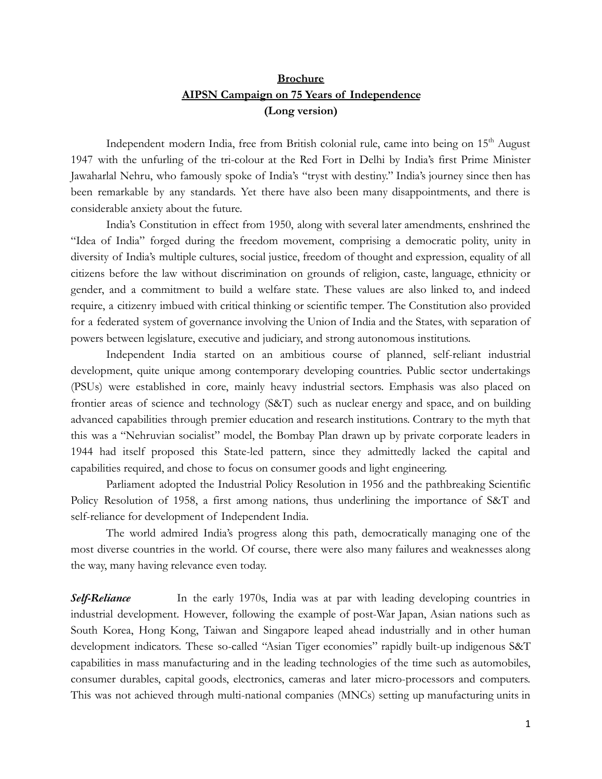## **Brochure AIPSN Campaign on 75 Years of Independence (Long version)**

Independent modern India, free from British colonial rule, came into being on 15<sup>th</sup> August 1947 with the unfurling of the tri-colour at the Red Fort in Delhi by India's first Prime Minister Jawaharlal Nehru, who famously spoke of India's "tryst with destiny." India's journey since then has been remarkable by any standards. Yet there have also been many disappointments, and there is considerable anxiety about the future.

India's Constitution in effect from 1950, along with several later amendments, enshrined the "Idea of India" forged during the freedom movement, comprising a democratic polity, unity in diversity of India's multiple cultures, social justice, freedom of thought and expression, equality of all citizens before the law without discrimination on grounds of religion, caste, language, ethnicity or gender, and a commitment to build a welfare state. These values are also linked to, and indeed require, a citizenry imbued with critical thinking or scientific temper. The Constitution also provided for a federated system of governance involving the Union of India and the States, with separation of powers between legislature, executive and judiciary, and strong autonomous institutions.

Independent India started on an ambitious course of planned, self-reliant industrial development, quite unique among contemporary developing countries. Public sector undertakings (PSUs) were established in core, mainly heavy industrial sectors. Emphasis was also placed on frontier areas of science and technology (S&T) such as nuclear energy and space, and on building advanced capabilities through premier education and research institutions. Contrary to the myth that this was a "Nehruvian socialist" model, the Bombay Plan drawn up by private corporate leaders in 1944 had itself proposed this State-led pattern, since they admittedly lacked the capital and capabilities required, and chose to focus on consumer goods and light engineering.

Parliament adopted the Industrial Policy Resolution in 1956 and the pathbreaking Scientific Policy Resolution of 1958, a first among nations, thus underlining the importance of S&T and self-reliance for development of Independent India.

The world admired India's progress along this path, democratically managing one of the most diverse countries in the world. Of course, there were also many failures and weaknesses along the way, many having relevance even today.

*Self-Reliance* In the early 1970s, India was at par with leading developing countries in industrial development. However, following the example of post-War Japan, Asian nations such as South Korea, Hong Kong, Taiwan and Singapore leaped ahead industrially and in other human development indicators. These so-called "Asian Tiger economies" rapidly built-up indigenous S&T capabilities in mass manufacturing and in the leading technologies of the time such as automobiles, consumer durables, capital goods, electronics, cameras and later micro-processors and computers. This was not achieved through multi-national companies (MNCs) setting up manufacturing units in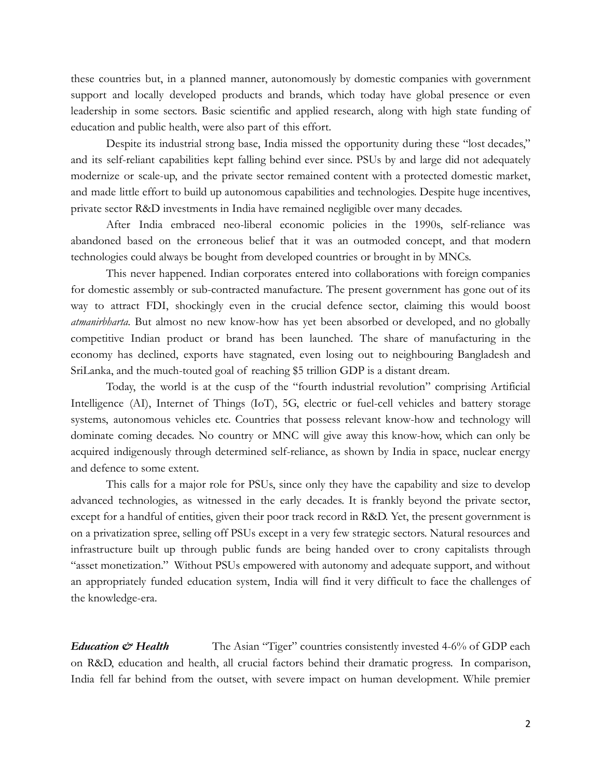these countries but, in a planned manner, autonomously by domestic companies with government support and locally developed products and brands, which today have global presence or even leadership in some sectors. Basic scientific and applied research, along with high state funding of education and public health, were also part of this effort.

Despite its industrial strong base, India missed the opportunity during these "lost decades," and its self-reliant capabilities kept falling behind ever since. PSUs by and large did not adequately modernize or scale-up, and the private sector remained content with a protected domestic market, and made little effort to build up autonomous capabilities and technologies. Despite huge incentives, private sector R&D investments in India have remained negligible over many decades.

After India embraced neo-liberal economic policies in the 1990s, self-reliance was abandoned based on the erroneous belief that it was an outmoded concept, and that modern technologies could always be bought from developed countries or brought in by MNCs.

This never happened. Indian corporates entered into collaborations with foreign companies for domestic assembly or sub-contracted manufacture. The present government has gone out of its way to attract FDI, shockingly even in the crucial defence sector, claiming this would boost *atmanirbharta*. But almost no new know-how has yet been absorbed or developed, and no globally competitive Indian product or brand has been launched. The share of manufacturing in the economy has declined, exports have stagnated, even losing out to neighbouring Bangladesh and SriLanka, and the much-touted goal of reaching \$5 trillion GDP is a distant dream.

Today, the world is at the cusp of the "fourth industrial revolution" comprising Artificial Intelligence (AI), Internet of Things (IoT), 5G, electric or fuel-cell vehicles and battery storage systems, autonomous vehicles etc. Countries that possess relevant know-how and technology will dominate coming decades. No country or MNC will give away this know-how, which can only be acquired indigenously through determined self-reliance, as shown by India in space, nuclear energy and defence to some extent.

This calls for a major role for PSUs, since only they have the capability and size to develop advanced technologies, as witnessed in the early decades. It is frankly beyond the private sector, except for a handful of entities, given their poor track record in R&D. Yet, the present government is on a privatization spree, selling off PSUs except in a very few strategic sectors. Natural resources and infrastructure built up through public funds are being handed over to crony capitalists through "asset monetization." Without PSUs empowered with autonomy and adequate support, and without an appropriately funded education system, India will find it very difficult to face the challenges of the knowledge-era.

*Education*  $\mathcal O$  *Health* The Asian "Tiger" countries consistently invested 4-6% of GDP each on R&D, education and health, all crucial factors behind their dramatic progress. In comparison, India fell far behind from the outset, with severe impact on human development. While premier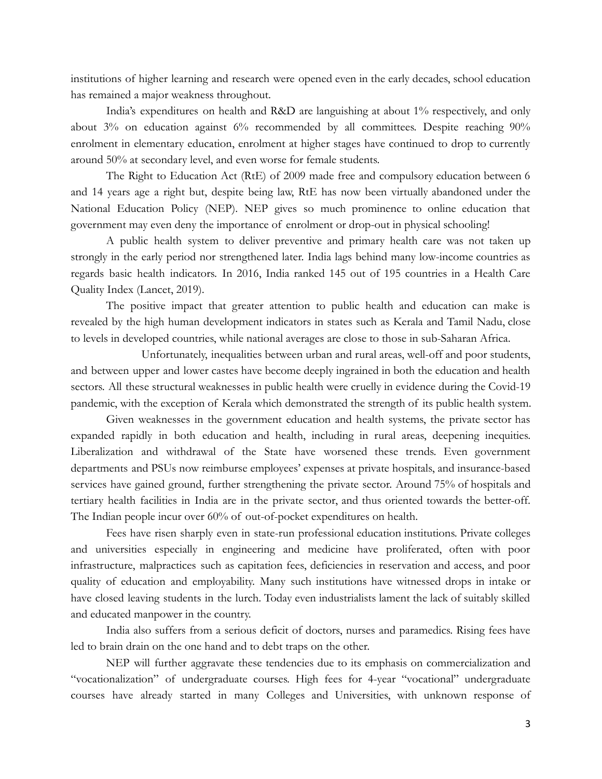institutions of higher learning and research were opened even in the early decades, school education has remained a major weakness throughout.

India's expenditures on health and R&D are languishing at about 1% respectively, and only about 3% on education against 6% recommended by all committees. Despite reaching 90% enrolment in elementary education, enrolment at higher stages have continued to drop to currently around 50% at secondary level, and even worse for female students.

The Right to Education Act (RtE) of 2009 made free and compulsory education between 6 and 14 years age a right but, despite being law, RtE has now been virtually abandoned under the National Education Policy (NEP). NEP gives so much prominence to online education that government may even deny the importance of enrolment or drop-out in physical schooling!

A public health system to deliver preventive and primary health care was not taken up strongly in the early period nor strengthened later. India lags behind many low-income countries as regards basic health indicators. In 2016, India ranked 145 out of 195 countries in a Health Care Quality Index (Lancet, 2019).

The positive impact that greater attention to public health and education can make is revealed by the high human development indicators in states such as Kerala and Tamil Nadu, close to levels in developed countries, while national averages are close to those in sub-Saharan Africa.

Unfortunately, inequalities between urban and rural areas, well-off and poor students, and between upper and lower castes have become deeply ingrained in both the education and health sectors. All these structural weaknesses in public health were cruelly in evidence during the Covid-19 pandemic, with the exception of Kerala which demonstrated the strength of its public health system.

Given weaknesses in the government education and health systems, the private sector has expanded rapidly in both education and health, including in rural areas, deepening inequities. Liberalization and withdrawal of the State have worsened these trends. Even government departments and PSUs now reimburse employees' expenses at private hospitals, and insurance-based services have gained ground, further strengthening the private sector. Around 75% of hospitals and tertiary health facilities in India are in the private sector, and thus oriented towards the better-off. The Indian people incur over 60% of out-of-pocket expenditures on health.

Fees have risen sharply even in state-run professional education institutions. Private colleges and universities especially in engineering and medicine have proliferated, often with poor infrastructure, malpractices such as capitation fees, deficiencies in reservation and access, and poor quality of education and employability. Many such institutions have witnessed drops in intake or have closed leaving students in the lurch. Today even industrialists lament the lack of suitably skilled and educated manpower in the country.

India also suffers from a serious deficit of doctors, nurses and paramedics. Rising fees have led to brain drain on the one hand and to debt traps on the other.

NEP will further aggravate these tendencies due to its emphasis on commercialization and "vocationalization" of undergraduate courses. High fees for 4-year "vocational" undergraduate courses have already started in many Colleges and Universities, with unknown response of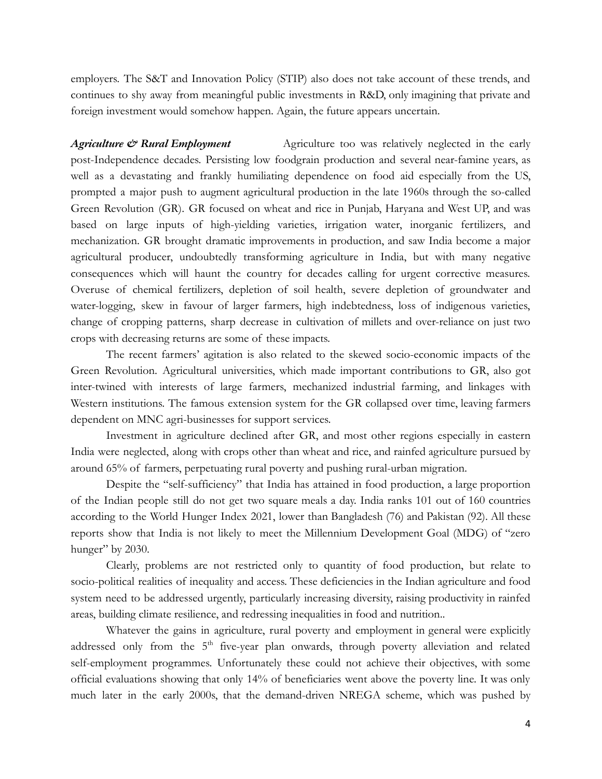employers. The S&T and Innovation Policy (STIP) also does not take account of these trends, and continues to shy away from meaningful public investments in R&D, only imagining that private and foreign investment would somehow happen. Again, the future appears uncertain.

*Agriculture*  $\mathscr{L}$  *Rural Employment* Agriculture too was relatively neglected in the early post-Independence decades. Persisting low foodgrain production and several near-famine years, as well as a devastating and frankly humiliating dependence on food aid especially from the US, prompted a major push to augment agricultural production in the late 1960s through the so-called Green Revolution (GR). GR focused on wheat and rice in Punjab, Haryana and West UP, and was based on large inputs of high-yielding varieties, irrigation water, inorganic fertilizers, and mechanization. GR brought dramatic improvements in production, and saw India become a major agricultural producer, undoubtedly transforming agriculture in India, but with many negative consequences which will haunt the country for decades calling for urgent corrective measures. Overuse of chemical fertilizers, depletion of soil health, severe depletion of groundwater and water-logging, skew in favour of larger farmers, high indebtedness, loss of indigenous varieties, change of cropping patterns, sharp decrease in cultivation of millets and over-reliance on just two crops with decreasing returns are some of these impacts.

The recent farmers' agitation is also related to the skewed socio-economic impacts of the Green Revolution. Agricultural universities, which made important contributions to GR, also got inter-twined with interests of large farmers, mechanized industrial farming, and linkages with Western institutions. The famous extension system for the GR collapsed over time, leaving farmers dependent on MNC agri-businesses for support services.

Investment in agriculture declined after GR, and most other regions especially in eastern India were neglected, along with crops other than wheat and rice, and rainfed agriculture pursued by around 65% of farmers, perpetuating rural poverty and pushing rural-urban migration.

Despite the "self-sufficiency" that India has attained in food production, a large proportion of the Indian people still do not get two square meals a day. India ranks 101 out of 160 countries according to the World Hunger Index 2021, lower than Bangladesh (76) and Pakistan (92). All these reports show that India is not likely to meet the Millennium Development Goal (MDG) of "zero hunger" by 2030.

Clearly, problems are not restricted only to quantity of food production, but relate to socio-political realities of inequality and access. These deficiencies in the Indian agriculture and food system need to be addressed urgently, particularly increasing diversity, raising productivity in rainfed areas, building climate resilience, and redressing inequalities in food and nutrition..

Whatever the gains in agriculture, rural poverty and employment in general were explicitly addressed only from the 5<sup>th</sup> five-year plan onwards, through poverty alleviation and related self-employment programmes. Unfortunately these could not achieve their objectives, with some official evaluations showing that only 14% of beneficiaries went above the poverty line. It was only much later in the early 2000s, that the demand-driven NREGA scheme, which was pushed by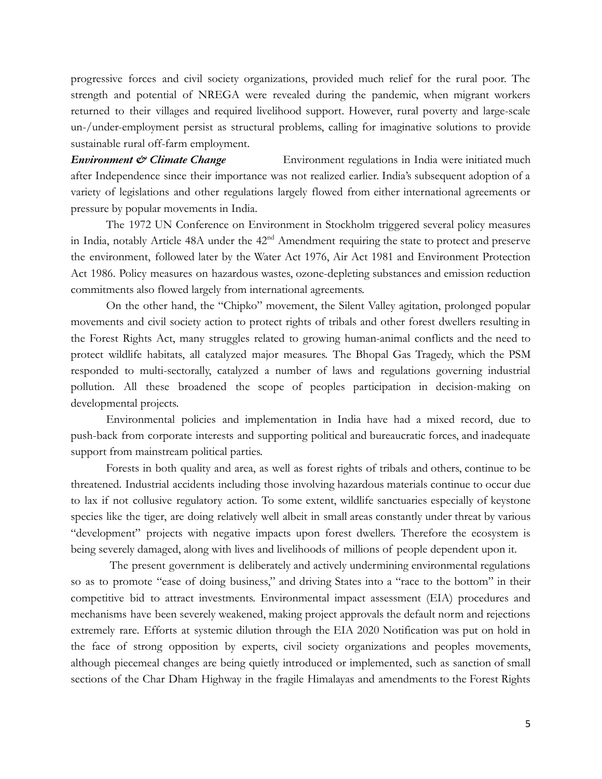progressive forces and civil society organizations, provided much relief for the rural poor. The strength and potential of NREGA were revealed during the pandemic, when migrant workers returned to their villages and required livelihood support. However, rural poverty and large-scale un-/under-employment persist as structural problems, calling for imaginative solutions to provide sustainable rural off-farm employment.

**Environment**  $\mathcal O$  *Climate Change* Environment regulations in India were initiated much after Independence since their importance was not realized earlier. India's subsequent adoption of a variety of legislations and other regulations largely flowed from either international agreements or pressure by popular movements in India.

The 1972 UN Conference on Environment in Stockholm triggered several policy measures in India, notably Article 48A under the 42<sup>nd</sup> Amendment requiring the state to protect and preserve the environment, followed later by the Water Act 1976, Air Act 1981 and Environment Protection Act 1986. Policy measures on hazardous wastes, ozone-depleting substances and emission reduction commitments also flowed largely from international agreements.

On the other hand, the "Chipko" movement, the Silent Valley agitation, prolonged popular movements and civil society action to protect rights of tribals and other forest dwellers resulting in the Forest Rights Act, many struggles related to growing human-animal conflicts and the need to protect wildlife habitats, all catalyzed major measures. The Bhopal Gas Tragedy, which the PSM responded to multi-sectorally, catalyzed a number of laws and regulations governing industrial pollution. All these broadened the scope of peoples participation in decision-making on developmental projects.

Environmental policies and implementation in India have had a mixed record, due to push-back from corporate interests and supporting political and bureaucratic forces, and inadequate support from mainstream political parties.

Forests in both quality and area, as well as forest rights of tribals and others, continue to be threatened. Industrial accidents including those involving hazardous materials continue to occur due to lax if not collusive regulatory action. To some extent, wildlife sanctuaries especially of keystone species like the tiger, are doing relatively well albeit in small areas constantly under threat by various "development" projects with negative impacts upon forest dwellers. Therefore the ecosystem is being severely damaged, along with lives and livelihoods of millions of people dependent upon it.

The present government is deliberately and actively undermining environmental regulations so as to promote "ease of doing business," and driving States into a "race to the bottom" in their competitive bid to attract investments. Environmental impact assessment (EIA) procedures and mechanisms have been severely weakened, making project approvals the default norm and rejections extremely rare. Efforts at systemic dilution through the EIA 2020 Notification was put on hold in the face of strong opposition by experts, civil society organizations and peoples movements, although piecemeal changes are being quietly introduced or implemented, such as sanction of small sections of the Char Dham Highway in the fragile Himalayas and amendments to the Forest Rights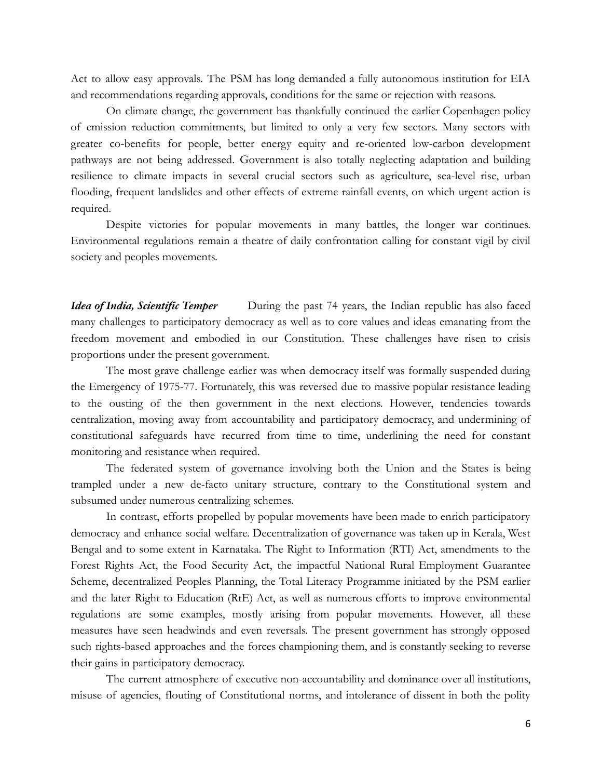Act to allow easy approvals. The PSM has long demanded a fully autonomous institution for EIA and recommendations regarding approvals, conditions for the same or rejection with reasons.

On climate change, the government has thankfully continued the earlier Copenhagen policy of emission reduction commitments, but limited to only a very few sectors. Many sectors with greater co-benefits for people, better energy equity and re-oriented low-carbon development pathways are not being addressed. Government is also totally neglecting adaptation and building resilience to climate impacts in several crucial sectors such as agriculture, sea-level rise, urban flooding, frequent landslides and other effects of extreme rainfall events, on which urgent action is required.

Despite victories for popular movements in many battles, the longer war continues. Environmental regulations remain a theatre of daily confrontation calling for constant vigil by civil society and peoples movements.

*Idea of India, Scientific Temper* During the past 74 years, the Indian republic has also faced many challenges to participatory democracy as well as to core values and ideas emanating from the freedom movement and embodied in our Constitution. These challenges have risen to crisis proportions under the present government.

The most grave challenge earlier was when democracy itself was formally suspended during the Emergency of 1975-77. Fortunately, this was reversed due to massive popular resistance leading to the ousting of the then government in the next elections. However, tendencies towards centralization, moving away from accountability and participatory democracy, and undermining of constitutional safeguards have recurred from time to time, underlining the need for constant monitoring and resistance when required.

The federated system of governance involving both the Union and the States is being trampled under a new de-facto unitary structure, contrary to the Constitutional system and subsumed under numerous centralizing schemes.

In contrast, efforts propelled by popular movements have been made to enrich participatory democracy and enhance social welfare. Decentralization of governance was taken up in Kerala, West Bengal and to some extent in Karnataka. The Right to Information (RTI) Act, amendments to the Forest Rights Act, the Food Security Act, the impactful National Rural Employment Guarantee Scheme, decentralized Peoples Planning, the Total Literacy Programme initiated by the PSM earlier and the later Right to Education (RtE) Act, as well as numerous efforts to improve environmental regulations are some examples, mostly arising from popular movements. However, all these measures have seen headwinds and even reversals. The present government has strongly opposed such rights-based approaches and the forces championing them, and is constantly seeking to reverse their gains in participatory democracy.

The current atmosphere of executive non-accountability and dominance over all institutions, misuse of agencies, flouting of Constitutional norms, and intolerance of dissent in both the polity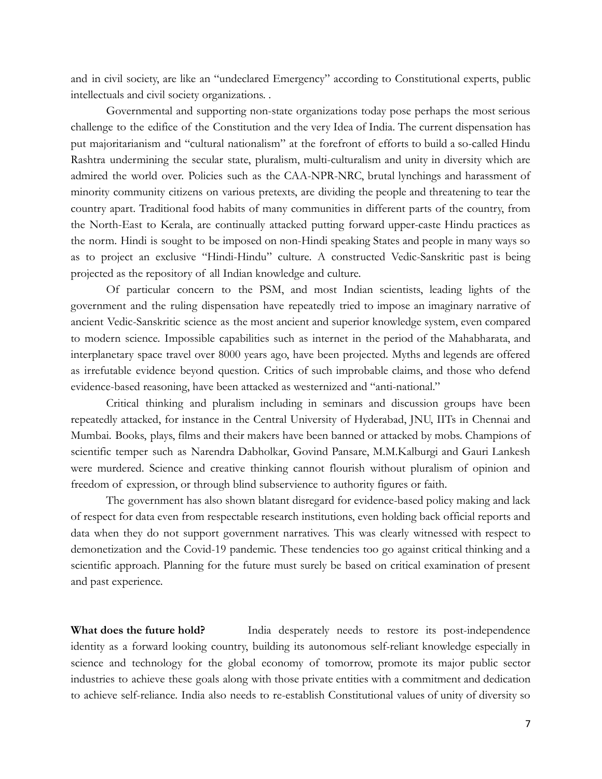and in civil society, are like an "undeclared Emergency" according to Constitutional experts, public intellectuals and civil society organizations. .

Governmental and supporting non-state organizations today pose perhaps the most serious challenge to the edifice of the Constitution and the very Idea of India. The current dispensation has put majoritarianism and "cultural nationalism" at the forefront of efforts to build a so-called Hindu Rashtra undermining the secular state, pluralism, multi-culturalism and unity in diversity which are admired the world over. Policies such as the CAA-NPR-NRC, brutal lynchings and harassment of minority community citizens on various pretexts, are dividing the people and threatening to tear the country apart. Traditional food habits of many communities in different parts of the country, from the North-East to Kerala, are continually attacked putting forward upper-caste Hindu practices as the norm. Hindi is sought to be imposed on non-Hindi speaking States and people in many ways so as to project an exclusive "Hindi-Hindu" culture. A constructed Vedic-Sanskritic past is being projected as the repository of all Indian knowledge and culture.

Of particular concern to the PSM, and most Indian scientists, leading lights of the government and the ruling dispensation have repeatedly tried to impose an imaginary narrative of ancient Vedic-Sanskritic science as the most ancient and superior knowledge system, even compared to modern science. Impossible capabilities such as internet in the period of the Mahabharata, and interplanetary space travel over 8000 years ago, have been projected. Myths and legends are offered as irrefutable evidence beyond question. Critics of such improbable claims, and those who defend evidence-based reasoning, have been attacked as westernized and "anti-national."

Critical thinking and pluralism including in seminars and discussion groups have been repeatedly attacked, for instance in the Central University of Hyderabad, JNU, IITs in Chennai and Mumbai. Books, plays, films and their makers have been banned or attacked by mobs. Champions of scientific temper such as Narendra Dabholkar, Govind Pansare, M.M.Kalburgi and Gauri Lankesh were murdered. Science and creative thinking cannot flourish without pluralism of opinion and freedom of expression, or through blind subservience to authority figures or faith.

The government has also shown blatant disregard for evidence-based policy making and lack of respect for data even from respectable research institutions, even holding back official reports and data when they do not support government narratives. This was clearly witnessed with respect to demonetization and the Covid-19 pandemic. These tendencies too go against critical thinking and a scientific approach. Planning for the future must surely be based on critical examination of present and past experience.

**What does the future hold?** India desperately needs to restore its post-independence identity as a forward looking country, building its autonomous self-reliant knowledge especially in science and technology for the global economy of tomorrow, promote its major public sector industries to achieve these goals along with those private entities with a commitment and dedication to achieve self-reliance. India also needs to re-establish Constitutional values of unity of diversity so